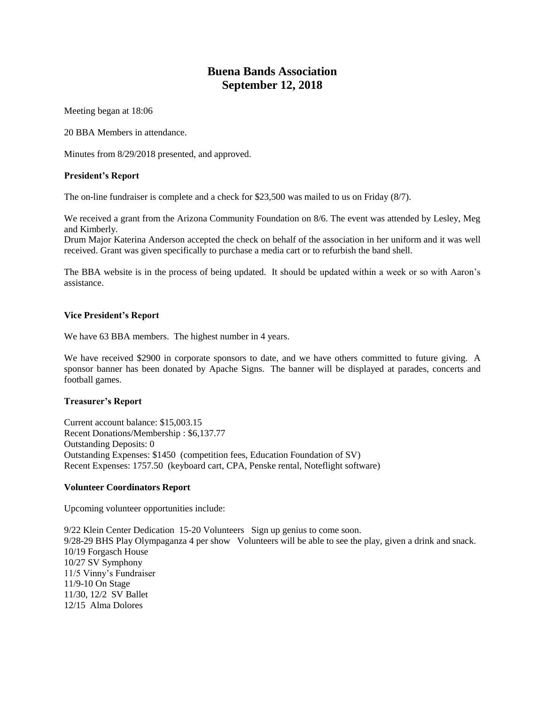# **Buena Bands Association September 12, 2018**

Meeting began at 18:06

20 BBA Members in attendance.

Minutes from 8/29/2018 presented, and approved.

## **President's Report**

The on-line fundraiser is complete and a check for \$23,500 was mailed to us on Friday (8/7).

We received a grant from the Arizona Community Foundation on 8/6. The event was attended by Lesley, Meg and Kimberly.

Drum Major Katerina Anderson accepted the check on behalf of the association in her uniform and it was well received. Grant was given specifically to purchase a media cart or to refurbish the band shell.

The BBA website is in the process of being updated. It should be updated within a week or so with Aaron's assistance.

## **Vice President's Report**

We have 63 BBA members. The highest number in 4 years.

We have received \$2900 in corporate sponsors to date, and we have others committed to future giving. A sponsor banner has been donated by Apache Signs. The banner will be displayed at parades, concerts and football games.

#### **Treasurer's Report**

Current account balance: \$15,003.15 Recent Donations/Membership : \$6,137.77 Outstanding Deposits: 0 Outstanding Expenses: \$1450 (competition fees, Education Foundation of SV) Recent Expenses: 1757.50 (keyboard cart, CPA, Penske rental, Noteflight software)

# **Volunteer Coordinators Report**

Upcoming volunteer opportunities include:

9/22 Klein Center Dedication 15-20 Volunteers Sign up genius to come soon. 9/28-29 BHS Play Olympaganza 4 per show Volunteers will be able to see the play, given a drink and snack. 10/19 Forgasch House 10/27 SV Symphony 11/5 Vinny's Fundraiser 11/9-10 On Stage 11/30, 12/2 SV Ballet 12/15 Alma Dolores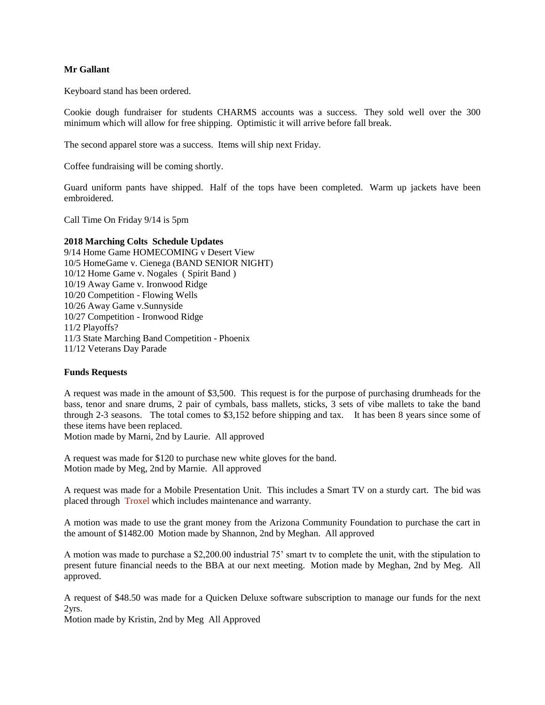## **Mr Gallant**

Keyboard stand has been ordered.

Cookie dough fundraiser for students CHARMS accounts was a success. They sold well over the 300 minimum which will allow for free shipping. Optimistic it will arrive before fall break.

The second apparel store was a success. Items will ship next Friday.

Coffee fundraising will be coming shortly.

Guard uniform pants have shipped. Half of the tops have been completed. Warm up jackets have been embroidered.

Call Time On Friday 9/14 is 5pm

#### **2018 Marching Colts Schedule Updates**

9/14 Home Game HOMECOMING v Desert View 10/5 HomeGame v. Cienega (BAND SENIOR NIGHT) 10/12 Home Game v. Nogales ( Spirit Band ) 10/19 Away Game v. Ironwood Ridge 10/20 Competition - Flowing Wells 10/26 Away Game v.Sunnyside 10/27 Competition - Ironwood Ridge 11/2 Playoffs? 11/3 State Marching Band Competition - Phoenix 11/12 Veterans Day Parade

### **Funds Requests**

A request was made in the amount of \$3,500. This request is for the purpose of purchasing drumheads for the bass, tenor and snare drums, 2 pair of cymbals, bass mallets, sticks, 3 sets of vibe mallets to take the band through 2-3 seasons. The total comes to \$3,152 before shipping and tax. It has been 8 years since some of these items have been replaced.

Motion made by Marni, 2nd by Laurie. All approved

A request was made for \$120 to purchase new white gloves for the band. Motion made by Meg, 2nd by Marnie. All approved

A request was made for a Mobile Presentation Unit. This includes a Smart TV on a sturdy cart. The bid was placed through Troxel which includes maintenance and warranty.

A motion was made to use the grant money from the Arizona Community Foundation to purchase the cart in the amount of \$1482.00 Motion made by Shannon, 2nd by Meghan. All approved

A motion was made to purchase a \$2,200.00 industrial 75' smart tv to complete the unit, with the stipulation to present future financial needs to the BBA at our next meeting. Motion made by Meghan, 2nd by Meg. All approved.

A request of \$48.50 was made for a Quicken Deluxe software subscription to manage our funds for the next 2yrs.

Motion made by Kristin, 2nd by Meg All Approved